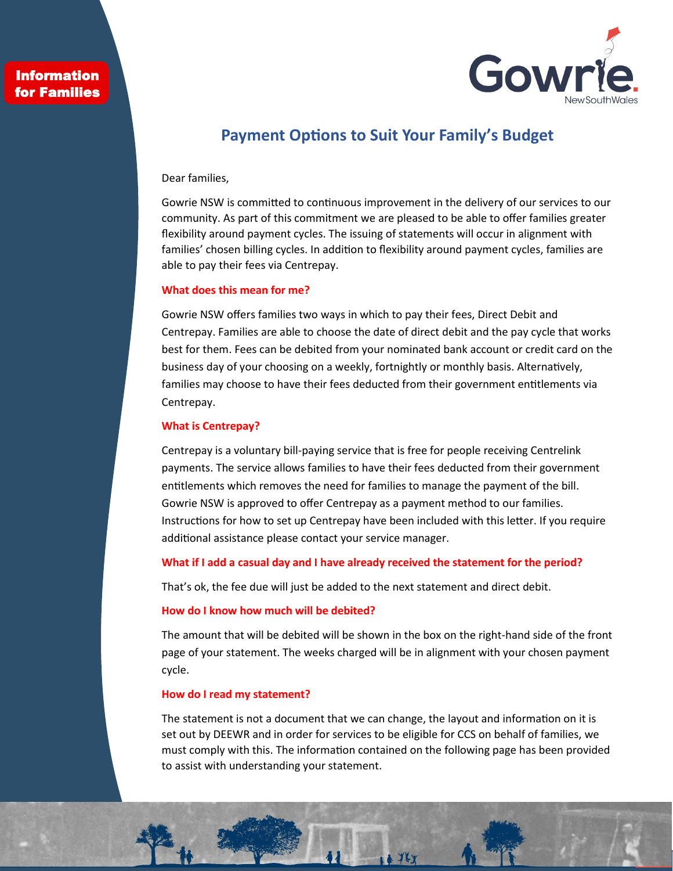## **Information** for Families



# **Payment Options to Suit Your Family's Budget**

#### Dear families,

Gowrie NSW is committed to continuous improvement in the delivery of our services to our community. As part of this commitment we are pleased to be able to offer families greater flexibility around payment cycles. The issuing of statements will occur in alignment with families' chosen billing cycles. In addition to flexibility around payment cycles, families are able to pay their fees via Centrepay.

## **What does this mean for me?**

Gowrie NSW offers families two ways in which to pay their fees, Direct Debit and Centrepay. Families are able to choose the date of direct debit and the pay cycle that works best for them. Fees can be debited from your nominated bank account or credit card on the business day of your choosing on a weekly, fortnightly or monthly basis. Alternatively, families may choose to have their fees deducted from their government entitlements via Centrepay.

#### **What is Centrepay?**

Centrepay is a voluntary bill‐paying service that is free for people receiving Centrelink payments. The service allows families to have their fees deducted from their government entitlements which removes the need for families to manage the payment of the bill. Gowrie NSW is approved to offer Centrepay as a payment method to our families. Instructions for how to set up Centrepay have been included with this letter. If you require additional assistance please contact your service manager.

#### **What if I add a casual day and I have already received the statement for the period?**

That's ok, the fee due will just be added to the next statement and direct debit.

### **How do I know how much will be debited?**

The amount that will be debited will be shown in the box on the right-hand side of the front page of your statement. The weeks charged will be in alignment with your chosen payment cycle.

#### **How do I read my statement?**

The statement is not a document that we can change, the layout and information on it is set out by DEEWR and in order for services to be eligible for CCS on behalf of families, we must comply with this. The information contained on the following page has been provided to assist with understanding your statement.